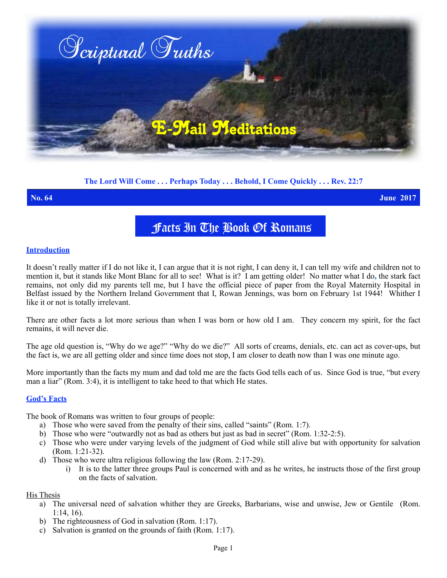

# **The Lord Will Come . . . Perhaps Today . . . Behold, I Come Quickly . . . Rev. 22:7**

**No. 64 June 2017**

# Facts In The Book Of Romans

### **Introduction**

It doesn't really matter if I do not like it, I can argue that it is not right, I can deny it, I can tell my wife and children not to mention it, but it stands like Mont Blanc for all to see! What is it? I am getting older! No matter what I do**,** the stark fact remains, not only did my parents tell me, but I have the official piece of paper from the Royal Maternity Hospital in Belfast issued by the Northern Ireland Government that I, Rowan Jennings, was born on February 1st 1944! Whither I like it or not is totally irrelevant.

There are other facts a lot more serious than when I was born or how old I am. They concern my spirit, for the fact remains, it will never die.

The age old question is, "Why do we age?" "Why do we die?" All sorts of creams, denials, etc. can act as cover-ups, but the fact is, we are all getting older and since time does not stop, I am closer to death now than I was one minute ago.

More importantly than the facts my mum and dad told me are the facts God tells each of us. Since God is true, "but every man a liar" (Rom. 3:4), it is intelligent to take heed to that which He states.

### **God's Facts**

The book of Romans was written to four groups of people:

- a) Those who were saved from the penalty of their sins, called "saints" (Rom. 1:7).
- b) Those who were "outwardly not as bad as others but just as bad in secret" (Rom. 1:32-2:5).
- c) Those who were under varying levels of the judgment of God while still alive but with opportunity for salvation (Rom. 1:21-32).
- d) Those who were ultra religious following the law (Rom. 2:17-29).
	- i) It is to the latter three groups Paul is concerned with and as he writes, he instructs those of the first group on the facts of salvation.

#### His Thesis

- a) The universal need of salvation whither they are Greeks, Barbarians, wise and unwise, Jew or Gentile (Rom. 1:14, 16).
- b) The righteousness of God in salvation (Rom. 1:17).
- c) Salvation is granted on the grounds of faith (Rom. 1:17).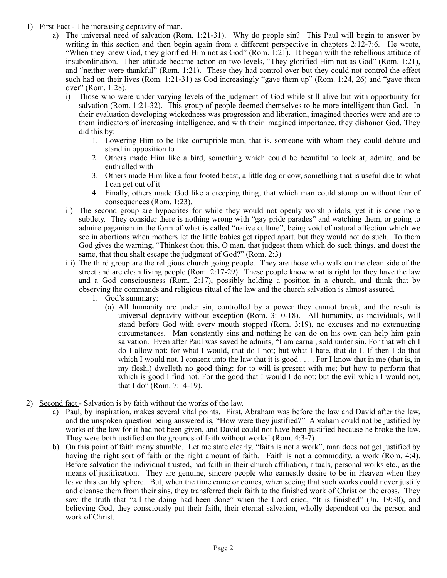- 1) First Fact The increasing depravity of man.
	- a) The universal need of salvation (Rom. 1:21-31). Why do people sin? This Paul will begin to answer by writing in this section and then begin again from a different perspective in chapters 2:12-7:6. He wrote, "When they knew God, they glorified Him not as God" (Rom. 1:21). It began with the rebellious attitude of insubordination. Then attitude became action on two levels, "They glorified Him not as God" (Rom. 1:21), and "neither were thankful" (Rom. 1:21). These they had control over but they could not control the effect such had on their lives (Rom. 1:21-31) as God increasingly "gave them up" (Rom. 1:24, 26) and "gave them over" (Rom. 1:28).
		- i) Those who were under varying levels of the judgment of God while still alive but with opportunity for salvation (Rom. 1:21-32). This group of people deemed themselves to be more intelligent than God. In their evaluation developing wickedness was progression and liberation, imagined theories were and are to them indicators of increasing intelligence, and with their imagined importance, they dishonor God. They did this by:
			- 1. Lowering Him to be like corruptible man, that is, someone with whom they could debate and stand in opposition to
			- 2. Others made Him like a bird, something which could be beautiful to look at, admire, and be enthralled with
			- 3. Others made Him like a four footed beast, a little dog or cow, something that is useful due to what I can get out of it
			- 4. Finally, others made God like a creeping thing, that which man could stomp on without fear of consequences (Rom. 1:23).
		- ii) The second group are hypocrites for while they would not openly worship idols, yet it is done more subtlety. They consider there is nothing wrong with "gay pride parades" and watching them, or going to admire paganism in the form of what is called "native culture", being void of natural affection which we see in abortions when mothers let the little babies get ripped apart, but they would not do such. To them God gives the warning, "Thinkest thou this, O man, that judgest them which do such things, and doest the same, that thou shalt escape the judgment of God?" (Rom. 2:3)
		- iii) The third group are the religious church going people. They are those who walk on the clean side of the street and are clean living people (Rom. 2:17-29). These people know what is right for they have the law and a God consciousness (Rom. 2:17), possibly holding a position in a church, and think that by observing the commands and religious ritual of the law and the church salvation is almost assured.
			- 1. God's summary:
				- (a) All humanity are under sin, controlled by a power they cannot break, and the result is universal depravity without exception (Rom. 3:10-18). All humanity, as individuals, will stand before God with every mouth stopped (Rom. 3:19), no excuses and no extenuating circumstances. Man constantly sins and nothing he can do on his own can help him gain salvation. Even after Paul was saved he admits, "I am carnal, sold under sin. For that which I do I allow not: for what I would, that do I not; but what I hate, that do I. If then I do that which I would not, I consent unto the law that it is good . . . . For I know that in me (that is, in my flesh,) dwelleth no good thing: for to will is present with me; but how to perform that which is good I find not. For the good that I would I do not: but the evil which I would not, that I do" (Rom. 7:14-19).
- 2) Second fact Salvation is by faith without the works of the law.
	- a) Paul, by inspiration, makes several vital points. First, Abraham was before the law and David after the law, and the unspoken question being answered is, "How were they justified?" Abraham could not be justified by works of the law for it had not been given, and David could not have been justified because he broke the law. They were both justified on the grounds of faith without works! (Rom. 4:3-7)
	- b) On this point of faith many stumble. Let me state clearly, "faith is not a work", man does not get justified by having the right sort of faith or the right amount of faith. Faith is not a commodity, a work (Rom. 4:4). Before salvation the individual trusted, had faith in their church affiliation, rituals, personal works etc., as the means of justification. They are genuine, sincere people who earnestly desire to be in Heaven when they leave this earthly sphere. But, when the time came or comes, when seeing that such works could never justify and cleanse them from their sins, they transferred their faith to the finished work of Christ on the cross. They saw the truth that "all the doing had been done" when the Lord cried, "It is finished" (Jn. 19:30), and believing God, they consciously put their faith, their eternal salvation, wholly dependent on the person and work of Christ.